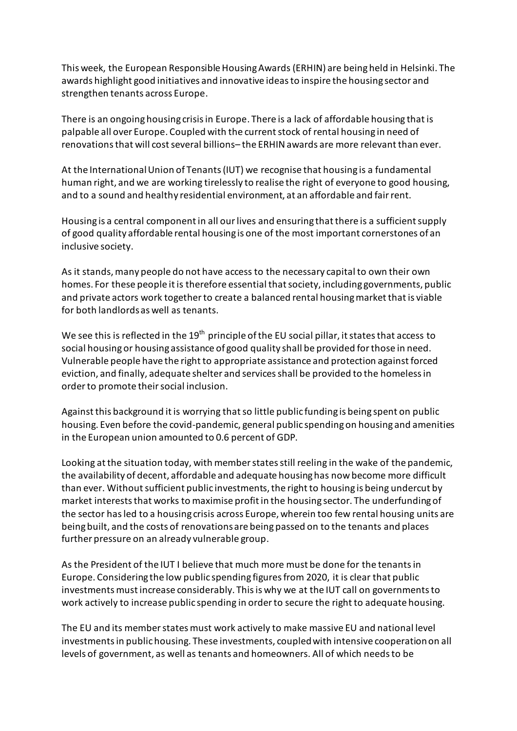This week, the European Responsible Housing Awards(ERHIN) are being held in Helsinki. The awards highlight good initiatives and innovative ideas to inspire the housing sector and strengthen tenants across Europe.

There is an ongoing housing crisis in Europe. There is a lack of affordable housing that is palpable all over Europe. Coupled with the currentstock of rental housing in need of renovationsthat will cost several billions– the ERHIN awards are more relevant than ever.

At the International Union of Tenants (IUT) we recognise that housing is a fundamental human right, and we are working tirelessly to realise the right of everyone to good housing, and to a sound and healthy residential environment, at an affordable and fair rent.

Housing is a central component in all our lives and ensuring that there is a sufficient supply of good quality affordable rental housing is one of the most important cornerstones of an inclusive society.

As it stands, many people do not have access to the necessary capital to own their own homes. For these people it is therefore essential that society, including governments, public and private actors work together to create a balanced rental housing market that is viable for both landlords as well as tenants.

We see this is reflected in the 19<sup>th</sup> principle of the EU social pillar, it states that access to social housing or housing assistance of good quality shall be provided for those in need. Vulnerable people have the right to appropriate assistance and protection against forced eviction, and finally, adequate shelter and services shall be provided to the homeless in order to promote their social inclusion.

Against this background it is worrying that so little public funding is being spent on public housing. Even before the covid-pandemic, general public spending on housing and amenities in the European union amounted to 0.6 percent of GDP.

Looking at the situation today, with member states still reeling in the wake of the pandemic, the availability of decent, affordable and adequate housing has now become more difficult than ever. Without sufficient public investments, the right to housing is being undercut by market interests that works to maximise profit in the housing sector. The underfunding of the sector has led to a housing crisis across Europe, wherein too few rental housing units are being built, and the costs of renovations are being passed on to the tenants and places further pressure on an already vulnerable group.

As the President of the IUT I believe that much more must be done for the tenantsin Europe. Considering the low public spending figures from 2020, it is clear that public investments must increase considerably. This is why we at the IUT call on governments to work actively to increase public spending in order to secure the right to adequate housing.

The EU and its member states must work actively to make massive EU and national level investments in public housing. These investments, coupled with intensive cooperation on all levels of government, as well as tenants and homeowners. All of which needs to be